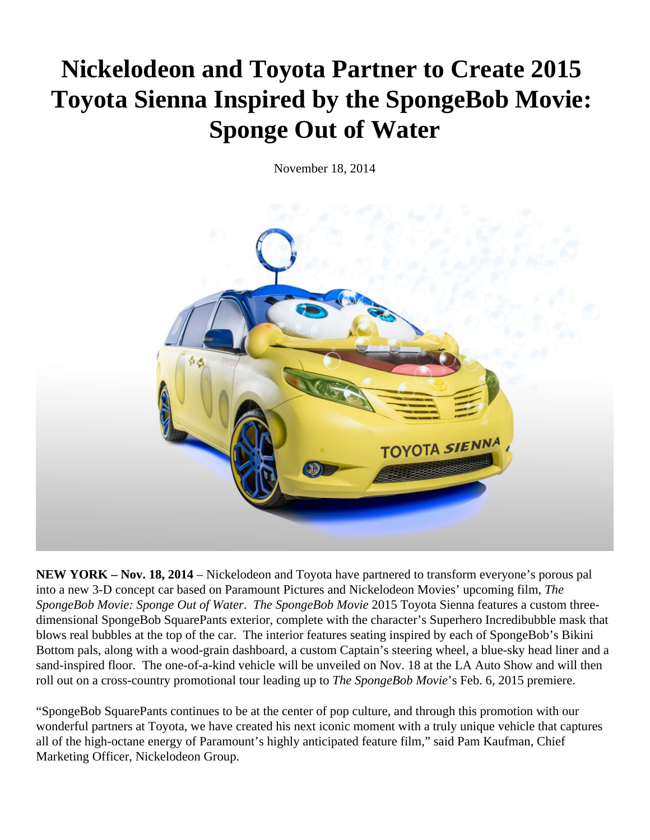## **Nickelodeon and Toyota Partner to Create 2015 Toyota Sienna Inspired by the SpongeBob Movie: Sponge Out of Water**

November 18, 2014



**NEW YORK – Nov. 18, 2014** – Nickelodeon and Toyota have partnered to transform everyone's porous pal into a new 3-D concept car based on Paramount Pictures and Nickelodeon Movies' upcoming film, *The SpongeBob Movie: Sponge Out of Water*. *The SpongeBob Movie* 2015 Toyota Sienna features a custom threedimensional SpongeBob SquarePants exterior, complete with the character's Superhero Incredibubble mask that blows real bubbles at the top of the car. The interior features seating inspired by each of SpongeBob's Bikini Bottom pals, along with a wood-grain dashboard, a custom Captain's steering wheel, a blue-sky head liner and a sand-inspired floor. The one-of-a-kind vehicle will be unveiled on Nov. 18 at the LA Auto Show and will then roll out on a cross-country promotional tour leading up to *The SpongeBob Movie*'s Feb. 6, 2015 premiere.

"SpongeBob SquarePants continues to be at the center of pop culture, and through this promotion with our wonderful partners at Toyota, we have created his next iconic moment with a truly unique vehicle that captures all of the high-octane energy of Paramount's highly anticipated feature film*,*" said Pam Kaufman, Chief Marketing Officer, Nickelodeon Group.